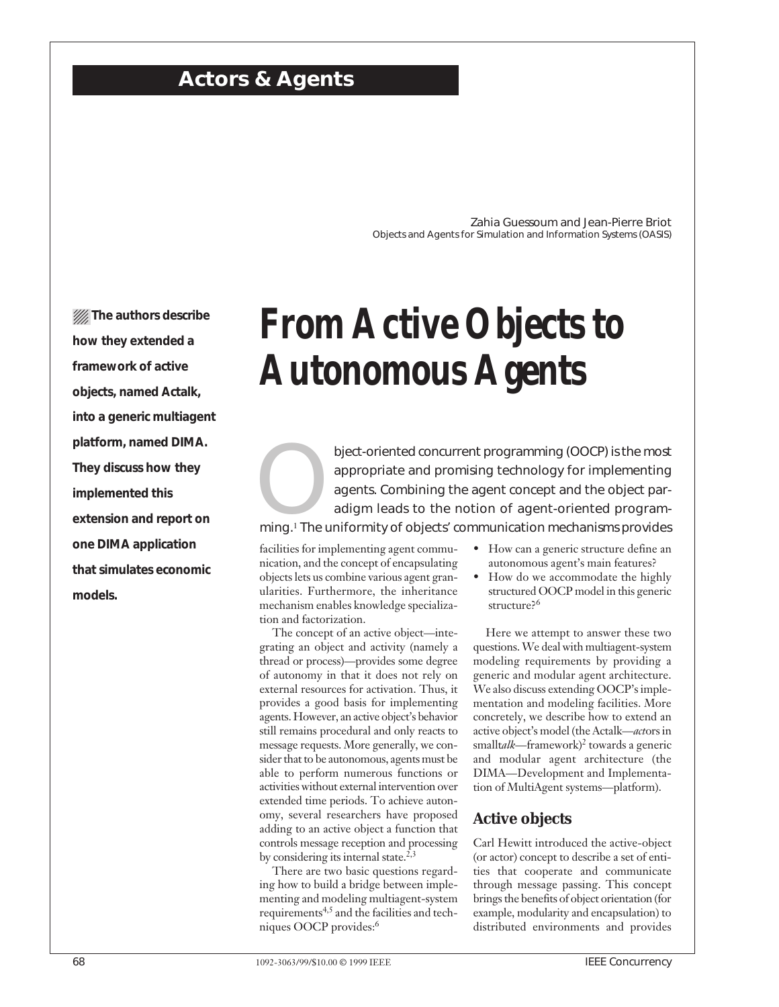# *Actors & Agents*

*Zahia Guessoum and Jean-Pierre Briot Objects and Agents for Simulation and Information Systems (OASIS)*

*The authors describe how they extended a framework of active objects, named Actalk, into a generic multiagent platform, named DIMA. They discuss how they implemented this extension and report on one DIMA application that simulates economic models.*

# **From Active Objects to Autonomous Agents**

bject-oriented concurrent programming (OOCP) is the most<br>appropriate and promising technology for implementing<br>agents. Combining the agent concept and the object par-<br>adigm leads to the notion of agent-oriented program-<br>mi appropriate and promising technology for implementing agents. Combining the agent concept and the object paradigm leads to the notion of agent-oriented program-

facilities for implementing agent communication, and the concept of encapsulating objects lets us combine various agent granularities. Furthermore, the inheritance mechanism enables knowledge specialization and factorization.

The concept of an active object—integrating an object and activity (namely a thread or process)—provides some degree of autonomy in that it does not rely on external resources for activation. Thus, it provides a good basis for implementing agents. However, an active object's behavior still remains procedural and only reacts to message requests. More generally, we consider that to be autonomous, agents must be able to perform numerous functions or activities without external intervention over extended time periods. To achieve autonomy, several researchers have proposed adding to an active object a function that controls message reception and processing by considering its internal state.<sup>2,3</sup>

There are two basic questions regarding how to build a bridge between implementing and modeling multiagent-system requirements<sup>4,5</sup> and the facilities and techniques OOCP provides:6

- How can a generic structure define an autonomous agent's main features?
- How do we accommodate the highly structured OOCP model in this generic structure?<sup>6</sup>

Here we attempt to answer these two questions. We deal with multiagent-system modeling requirements by providing a generic and modular agent architecture. We also discuss extending OOCP's implementation and modeling facilities. More concretely, we describe how to extend an active object's model (the Actalk—*act*ors in smalltalk—framework<sup>2</sup> towards a generic and modular agent architecture (the DIMA—Development and Implementation of MultiAgent systems—platform).

# **Active objects**

Carl Hewitt introduced the active-object (or actor) concept to describe a set of entities that cooperate and communicate through message passing. This concept brings the benefits of object orientation (for example, modularity and encapsulation) to distributed environments and provides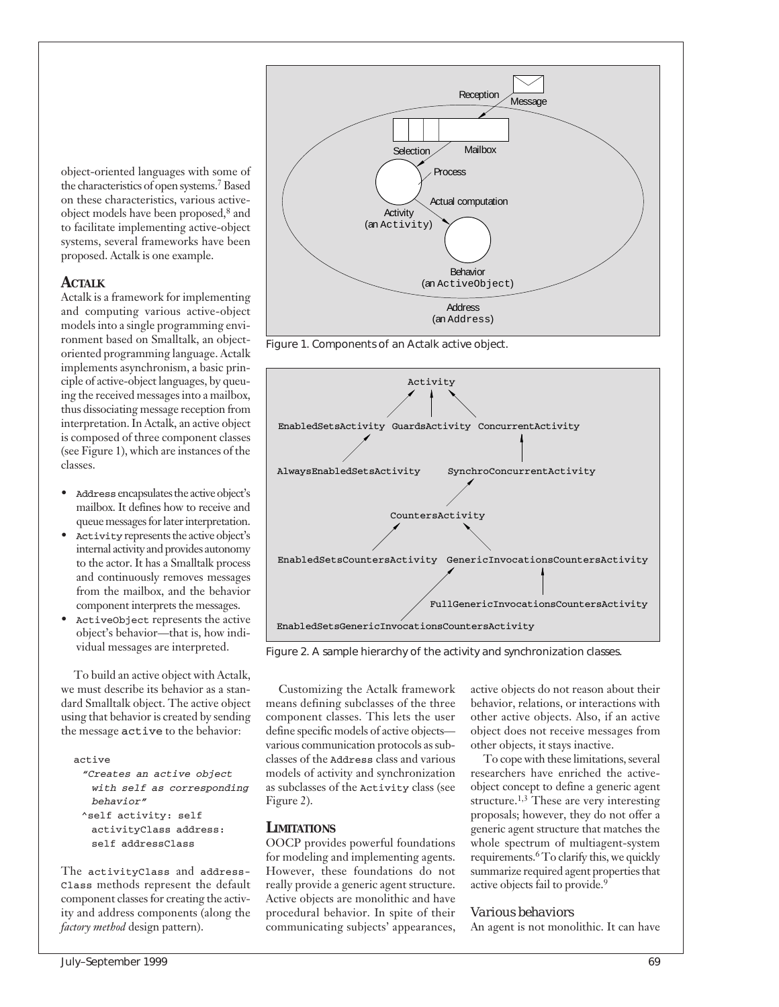object-oriented languages with some of the characteristics of open systems.7 Based on these characteristics, various activeobject models have been proposed,<sup>8</sup> and to facilitate implementing active-object systems, several frameworks have been proposed. Actalk is one example.

# **ACTALK**

Actalk is a framework for implementing and computing various active-object models into a single programming environment based on Smalltalk, an objectoriented programming language. Actalk implements asynchronism, a basic principle of active-object languages, by queuing the received messages into a mailbox, thus dissociating message reception from interpretation. In Actalk, an active object is composed of three component classes (see Figure 1), which are instances of the classes.

- Address encapsulates the active object's mailbox. It defines how to receive and queue messages for later interpretation.
- Activity represents the active object's internal activity and provides autonomy to the actor. It has a Smalltalk process and continuously removes messages from the mailbox, and the behavior component interprets the messages.
- ActiveObject represents the active object's behavior—that is, how individual messages are interpreted.

To build an active object with Actalk, we must describe its behavior as a standard Smalltalk object. The active object using that behavior is created by sending the message active to the behavior:

#### active

```
"Creates an active object 
 with self as corresponding
 behavior"
^self activity: self 
 activityClass address: 
 self addressClass
```
The activityClass and address-Class methods represent the default component classes for creating the activity and address components (along the *factory method* design pattern).



Figure 1. Components of an Actalk active object.



Figure 2. A sample hierarchy of the activity and synchronization classes.

Customizing the Actalk framework means defining subclasses of the three component classes. This lets the user define specific models of active objects various communication protocols as subclasses of the Address class and various models of activity and synchronization as subclasses of the Activity class (see Figure 2).

#### **LIMITATIONS**

OOCP provides powerful foundations for modeling and implementing agents. However, these foundations do not really provide a generic agent structure. Active objects are monolithic and have procedural behavior. In spite of their communicating subjects' appearances, active objects do not reason about their behavior, relations, or interactions with other active objects. Also, if an active object does not receive messages from other objects, it stays inactive.

To cope with these limitations, several researchers have enriched the activeobject concept to define a generic agent structure.<sup>1,3</sup> These are very interesting proposals; however, they do not offer a generic agent structure that matches the whole spectrum of multiagent-system requirements.<sup>6</sup> To clarify this, we quickly summarize required agent properties that active objects fail to provide.<sup>9</sup>

#### *Various behaviors*

An agent is not monolithic. It can have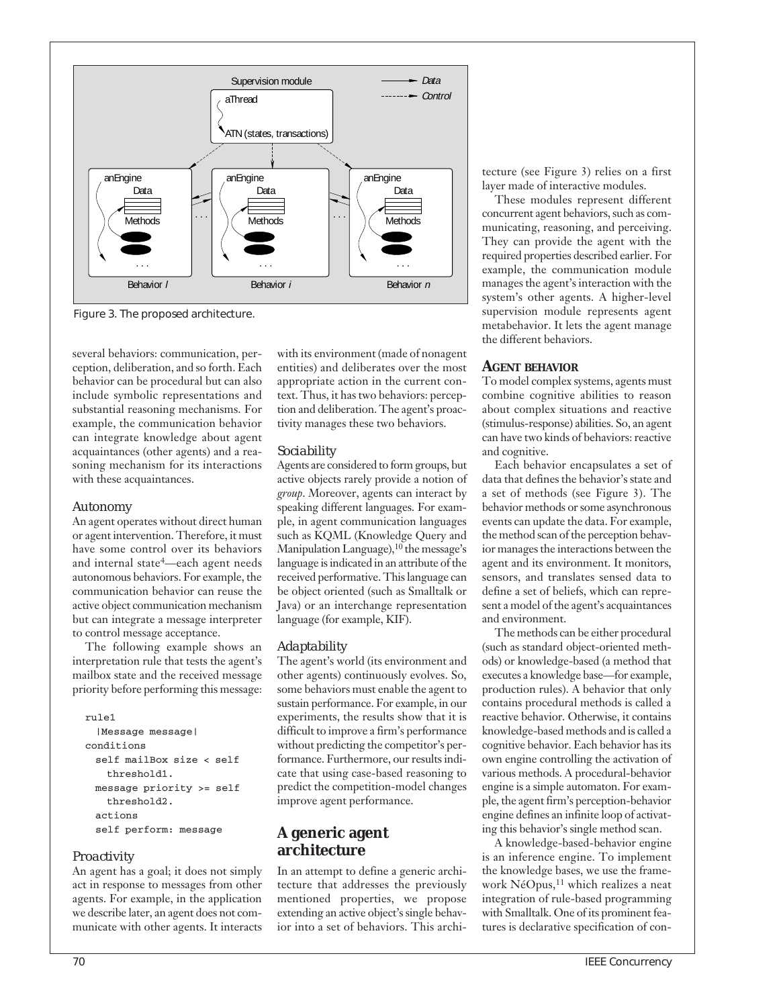

Figure 3. The proposed architecture.

several behaviors: communication, perception, deliberation, and so forth. Each behavior can be procedural but can also include symbolic representations and substantial reasoning mechanisms. For example, the communication behavior can integrate knowledge about agent acquaintances (other agents) and a reasoning mechanism for its interactions with these acquaintances.

#### *Autonomy*

An agent operates without direct human or agent intervention. Therefore, it must have some control over its behaviors and internal state<sup>4</sup>—each agent needs autonomous behaviors. For example, the communication behavior can reuse the active object communication mechanism but can integrate a message interpreter to control message acceptance.

The following example shows an interpretation rule that tests the agent's mailbox state and the received message priority before performing this message:

```
rule1 
 |Message message| 
conditions 
 self mailBox size < self 
   threshold1. 
 message priority >= self 
   threshold2. 
 actions 
 self perform: message
```
#### *Proactivity*

An agent has a goal; it does not simply act in response to messages from other agents. For example, in the application we describe later, an agent does not communicate with other agents. It interacts with its environment (made of nonagent entities) and deliberates over the most appropriate action in the current context. Thus, it has two behaviors: perception and deliberation. The agent's proactivity manages these two behaviors.

#### *Sociability*

Agents are considered to form groups, but active objects rarely provide a notion of *group*. Moreover, agents can interact by speaking different languages. For example, in agent communication languages such as KQML (Knowledge Query and Manipulation Language),<sup>10</sup> the message's language is indicated in an attribute of the received performative. This language can be object oriented (such as Smalltalk or Java) or an interchange representation language (for example, KIF).

#### *Adaptability*

The agent's world (its environment and other agents) continuously evolves. So, some behaviors must enable the agent to sustain performance. For example, in our experiments, the results show that it is difficult to improve a firm's performance without predicting the competitor's performance. Furthermore, our results indicate that using case-based reasoning to predict the competition-model changes improve agent performance.

# **A generic agent architecture**

In an attempt to define a generic architecture that addresses the previously mentioned properties, we propose extending an active object's single behavior into a set of behaviors. This architecture (see Figure 3) relies on a first layer made of interactive modules.

These modules represent different concurrent agent behaviors, such as communicating, reasoning, and perceiving. They can provide the agent with the required properties described earlier. For example, the communication module manages the agent's interaction with the system's other agents. A higher-level supervision module represents agent metabehavior. It lets the agent manage the different behaviors.

#### **AGENT BEHAVIOR**

To model complex systems, agents must combine cognitive abilities to reason about complex situations and reactive (stimulus-response) abilities. So, an agent can have two kinds of behaviors: reactive and cognitive.

Each behavior encapsulates a set of data that defines the behavior's state and a set of methods (see Figure 3). The behavior methods or some asynchronous events can update the data. For example, the method scan of the perception behavior manages the interactions between the agent and its environment. It monitors, sensors, and translates sensed data to define a set of beliefs, which can represent a model of the agent's acquaintances and environment.

The methods can be either procedural (such as standard object-oriented methods) or knowledge-based (a method that executes a knowledge base—for example, production rules). A behavior that only contains procedural methods is called a reactive behavior. Otherwise, it contains knowledge-based methods and is called a cognitive behavior. Each behavior has its own engine controlling the activation of various methods. A procedural-behavior engine is a simple automaton. For example, the agent firm's perception-behavior engine defines an infinite loop of activating this behavior's single method scan.

A knowledge-based-behavior engine is an inference engine. To implement the knowledge bases, we use the framework NéOpus,<sup>11</sup> which realizes a neat integration of rule-based programming with Smalltalk. One of its prominent features is declarative specification of con-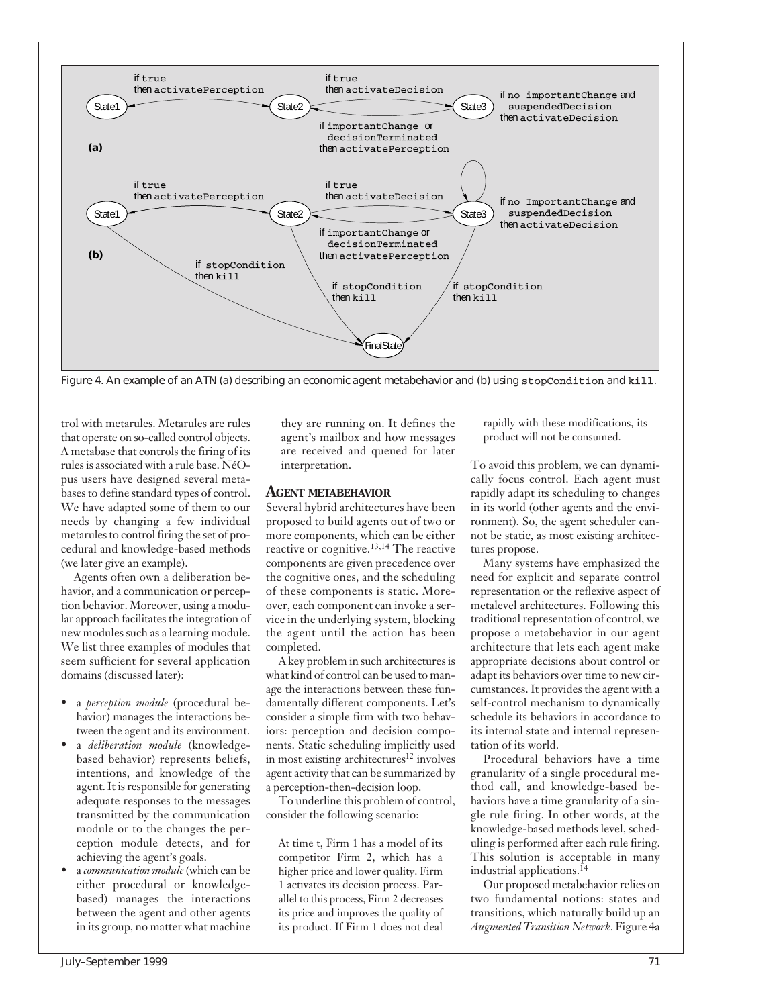

Figure 4. An example of an ATN (a) describing an economic agent metabehavior and (b) using stopCondition and kill.

trol with metarules. Metarules are rules that operate on so-called control objects. A metabase that controls the firing of its rules is associated with a rule base. NéOpus users have designed several metabases to define standard types of control. We have adapted some of them to our needs by changing a few individual metarules to control firing the set of procedural and knowledge-based methods (we later give an example).

Agents often own a deliberation behavior, and a communication or perception behavior. Moreover, using a modular approach facilitates the integration of new modules such as a learning module. We list three examples of modules that seem sufficient for several application domains (discussed later):

- a *perception module* (procedural behavior) manages the interactions between the agent and its environment.
- a *deliberation module* (knowledgebased behavior) represents beliefs, intentions, and knowledge of the agent. It is responsible for generating adequate responses to the messages transmitted by the communication module or to the changes the perception module detects, and for achieving the agent's goals.
- a *communication module* (which can be either procedural or knowledgebased) manages the interactions between the agent and other agents in its group, no matter what machine

they are running on. It defines the agent's mailbox and how messages are received and queued for later interpretation.

#### **AGENT METABEHAVIOR**

Several hybrid architectures have been proposed to build agents out of two or more components, which can be either reactive or cognitive.13,14 The reactive components are given precedence over the cognitive ones, and the scheduling of these components is static. Moreover, each component can invoke a service in the underlying system, blocking the agent until the action has been completed.

A key problem in such architectures is what kind of control can be used to manage the interactions between these fundamentally different components. Let's consider a simple firm with two behaviors: perception and decision components. Static scheduling implicitly used in most existing architectures $12$  involves agent activity that can be summarized by a perception-then-decision loop.

To underline this problem of control, consider the following scenario:

At time t, Firm 1 has a model of its competitor Firm 2, which has a higher price and lower quality. Firm 1 activates its decision process. Parallel to this process, Firm 2 decreases its price and improves the quality of its product. If Firm 1 does not deal

rapidly with these modifications, its product will not be consumed.

To avoid this problem, we can dynamically focus control. Each agent must rapidly adapt its scheduling to changes in its world (other agents and the environment). So, the agent scheduler cannot be static, as most existing architectures propose.

Many systems have emphasized the need for explicit and separate control representation or the reflexive aspect of metalevel architectures. Following this traditional representation of control, we propose a metabehavior in our agent architecture that lets each agent make appropriate decisions about control or adapt its behaviors over time to new circumstances. It provides the agent with a self-control mechanism to dynamically schedule its behaviors in accordance to its internal state and internal representation of its world.

Procedural behaviors have a time granularity of a single procedural method call, and knowledge-based behaviors have a time granularity of a single rule firing. In other words, at the knowledge-based methods level, scheduling is performed after each rule firing. This solution is acceptable in many industrial applications.14

Our proposed metabehavior relies on two fundamental notions: states and transitions, which naturally build up an *Augmented Transition Network*. Figure 4a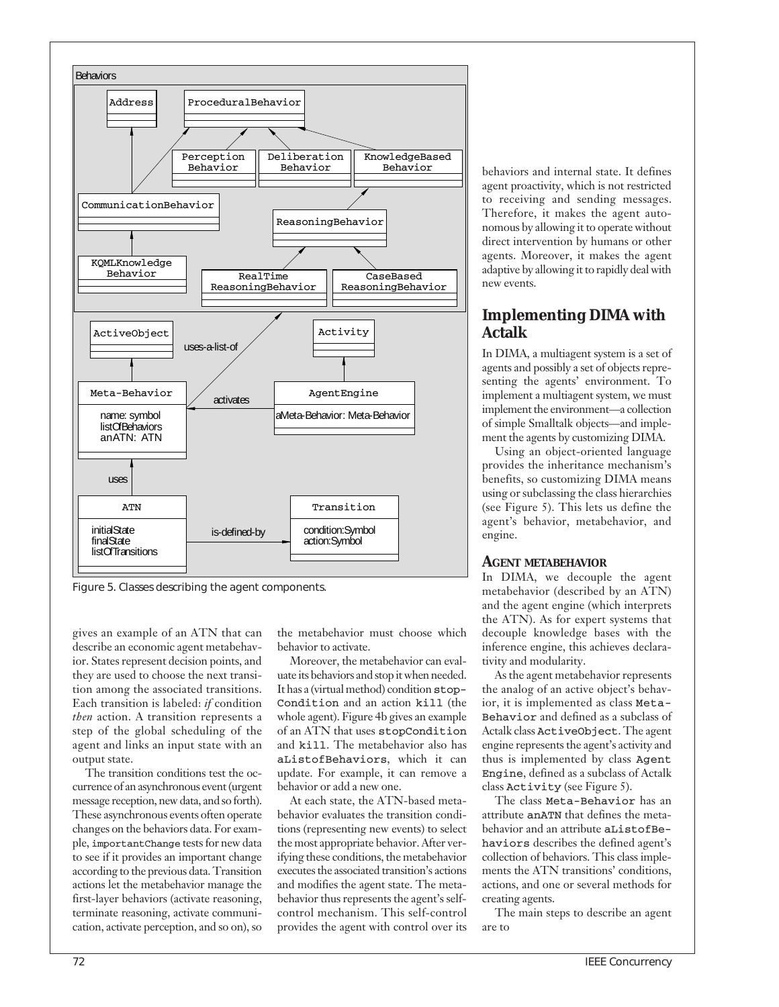

Figure 5. Classes describing the agent components.

gives an example of an ATN that can describe an economic agent metabehavior. States represent decision points, and they are used to choose the next transition among the associated transitions. Each transition is labeled: *if* condition *then* action. A transition represents a step of the global scheduling of the agent and links an input state with an output state.

The transition conditions test the occurrence of an asynchronous event (urgent message reception, new data, and so forth). These asynchronous events often operate changes on the behaviors data. For example, importantChange tests for new data to see if it provides an important change according to the previous data. Transition actions let the metabehavior manage the first-layer behaviors (activate reasoning, terminate reasoning, activate communication, activate perception, and so on), so

the metabehavior must choose which behavior to activate.

Moreover, the metabehavior can evaluate its behaviors and stop it when needed. It has a (virtual method) condition stop-Condition and an action kill (the whole agent). Figure 4b gives an example of an ATN that uses stopCondition and kill. The metabehavior also has aListofBehaviors, which it can update. For example, it can remove a behavior or add a new one.

At each state, the ATN-based metabehavior evaluates the transition conditions (representing new events) to select the most appropriate behavior. After verifying these conditions, the metabehavior executes the associated transition's actions and modifies the agent state. The metabehavior thus represents the agent's selfcontrol mechanism. This self-control provides the agent with control over its behaviors and internal state. It defines agent proactivity, which is not restricted to receiving and sending messages. Therefore, it makes the agent autonomous by allowing it to operate without direct intervention by humans or other agents. Moreover, it makes the agent adaptive by allowing it to rapidly deal with new events.

# **Implementing DIMA with Actalk**

In DIMA, a multiagent system is a set of agents and possibly a set of objects representing the agents' environment. To implement a multiagent system, we must implement the environment—a collection of simple Smalltalk objects—and implement the agents by customizing DIMA.

Using an object-oriented language provides the inheritance mechanism's benefits, so customizing DIMA means using or subclassing the class hierarchies (see Figure 5). This lets us define the agent's behavior, metabehavior, and engine.

#### **AGENT METABEHAVIOR**

In DIMA, we decouple the agent metabehavior (described by an ATN) and the agent engine (which interprets the ATN). As for expert systems that decouple knowledge bases with the inference engine, this achieves declarativity and modularity.

As the agent metabehavior represents the analog of an active object's behavior, it is implemented as class Meta-Behavior and defined as a subclass of Actalk class ActiveObject. The agent engine represents the agent's activity and thus is implemented by class Agent Engine, defined as a subclass of Actalk class Activity (see Figure 5).

The class Meta-Behavior has an attribute anATN that defines the metabehavior and an attribute aListofBehaviors describes the defined agent's collection of behaviors. This class implements the ATN transitions' conditions, actions, and one or several methods for creating agents.

The main steps to describe an agent are to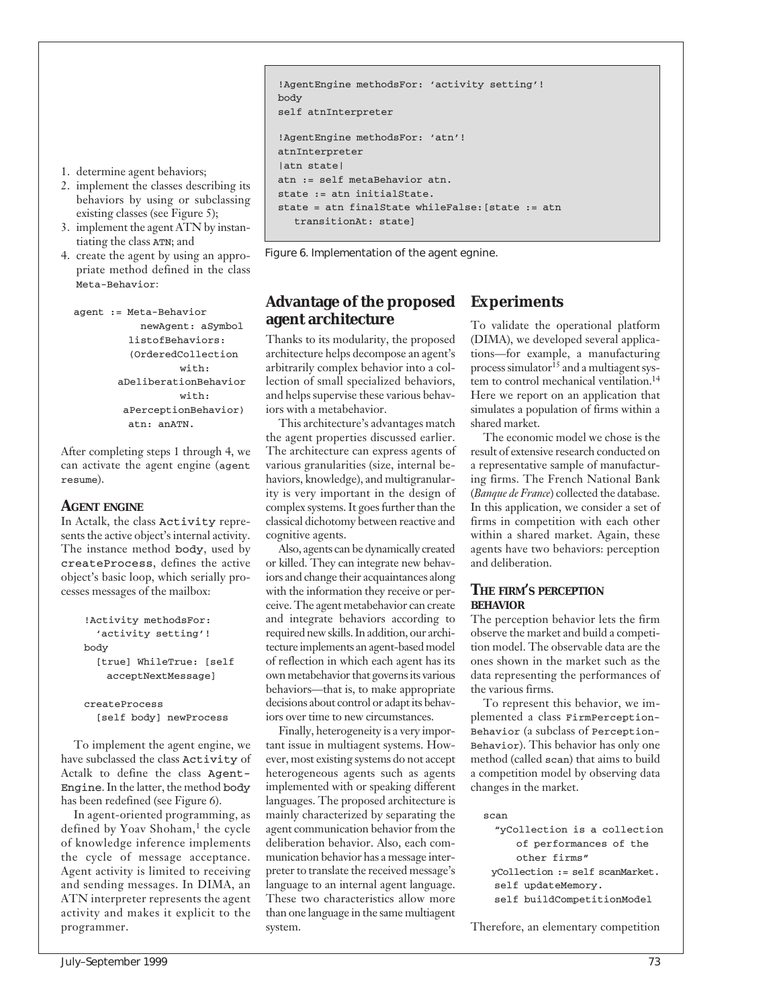- 1. determine agent behaviors;
- 2. implement the classes describing its behaviors by using or subclassing existing classes (see Figure 5);
- 3. implement the agent ATN by instantiating the class ATN; and
- 4. create the agent by using an appropriate method defined in the class Meta-Behavior:

```
agent := Meta-Behavior 
           newAgent: aSymbol
         listofBehaviors: 
         (OrderedCollection 
                  withaDeliberationBehavior
                  with: 
        aPerceptionBehavior)
         atn: anATN.
```
After completing steps 1 through 4, we can activate the agent engine (agent resume).

#### **AGENT ENGINE**

In Actalk, the class Activity represents the active object's internal activity. The instance method body, used by createProcess, defines the active object's basic loop, which serially processes messages of the mailbox:

```
!Activity methodsFor: 
  'activity setting'! 
body 
  [true] WhileTrue: [self 
    acceptNextMessage]
```
createProcess [self body] newProcess

To implement the agent engine, we have subclassed the class Activity of Actalk to define the class Agent-Engine. In the latter, the method body has been redefined (see Figure 6).

In agent-oriented programming, as defined by Yoav Shoham,<sup>1</sup> the cycle of knowledge inference implements the cycle of message acceptance. Agent activity is limited to receiving and sending messages. In DIMA, an ATN interpreter represents the agent activity and makes it explicit to the programmer.

```
!AgentEngine methodsFor: 'activity setting'! 
body 
self atnInterpreter
!AgentEngine methodsFor: 'atn'! 
atnInterpreter 
|atn state| 
atn := self metaBehavior atn. 
state := atn initialState. 
state = atn finalState whileFalse:[state := atn 
   transitionAt: state]
```
Figure 6. Implementation of the agent egnine.

# **Advantage of the proposed agent architecture**

Thanks to its modularity, the proposed architecture helps decompose an agent's arbitrarily complex behavior into a collection of small specialized behaviors, and helps supervise these various behaviors with a metabehavior.

This architecture's advantages match the agent properties discussed earlier. The architecture can express agents of various granularities (size, internal behaviors, knowledge), and multigranularity is very important in the design of complex systems. It goes further than the classical dichotomy between reactive and cognitive agents.

Also, agents can be dynamically created or killed. They can integrate new behaviors and change their acquaintances along with the information they receive or perceive. The agent metabehavior can create and integrate behaviors according to required new skills. In addition, our architecture implements an agent-based model of reflection in which each agent has its own metabehavior that governs its various behaviors—that is, to make appropriate decisions about control or adapt its behaviors over time to new circumstances.

Finally, heterogeneity is a very important issue in multiagent systems. However, most existing systems do not accept heterogeneous agents such as agents implemented with or speaking different languages. The proposed architecture is mainly characterized by separating the agent communication behavior from the deliberation behavior. Also, each communication behavior has a message interpreter to translate the received message's language to an internal agent language. These two characteristics allow more than one language in the same multiagent system.

# **Experiments**

To validate the operational platform (DIMA), we developed several applications—for example, a manufacturing process simulator $^{15}$  and a multiagent system to control mechanical ventilation.14 Here we report on an application that simulates a population of firms within a shared market.

The economic model we chose is the result of extensive research conducted on a representative sample of manufacturing firms. The French National Bank (*Banque de France*) collected the database. In this application, we consider a set of firms in competition with each other within a shared market. Again, these agents have two behaviors: perception and deliberation.

#### **THE FIRM'S PERCEPTION BEHAVIOR**

The perception behavior lets the firm observe the market and build a competition model. The observable data are the ones shown in the market such as the data representing the performances of the various firms.

To represent this behavior, we implemented a class FirmPerception-Behavior (a subclass of Perception-Behavior). This behavior has only one method (called scan) that aims to build a competition model by observing data changes in the market.

#### scan

"yCollection is a collection of performances of the other firms" yCollection := self scanMarket.

self updateMemory.

self buildCompetitionModel

Therefore, an elementary competition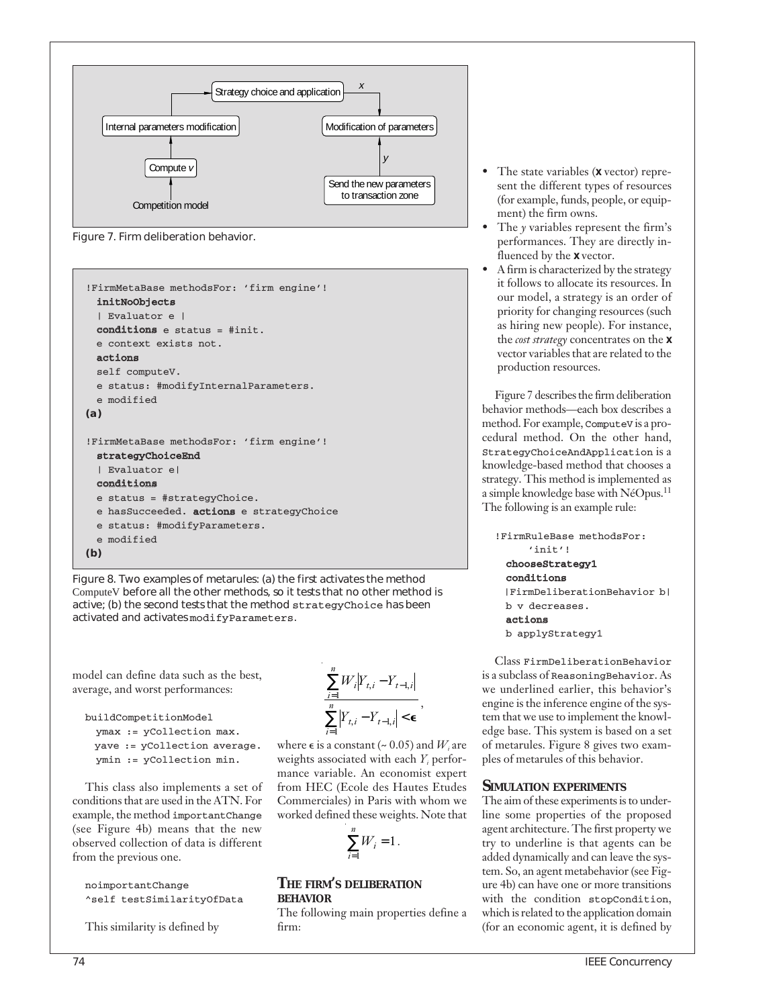

Figure 7. Firm deliberation behavior.



Figure 8. Two examples of metarules: (a) the first activates the method ComputeV before all the other methods, so it tests that no other method is active; (b) the second tests that the method strategyChoice has been activated and activates modifyParameters.

model can define data such as the best, average, and worst performances:

```
buildCompetitionModel 
  ymax := yCollection max. 
 yave := yCollection average. 
 ymin := yCollection min.
```
This class also implements a set of conditions that are used in the ATN. For example, the method importantChange (see Figure 4b) means that the new observed collection of data is different from the previous one.

noimportantChange ^self testSimilarityOfData

This similarity is defined by

$$
\frac{\sum_{i=1}^{n} W_i |Y_{t,i} - Y_{t-1,i}|}{\sum_{i=1}^{n} |Y_{t,i} - Y_{t-1,i}| < \epsilon},
$$

where  $\epsilon$  is a constant (~ 0.05) and *W<sub>i</sub>* are weights associated with each *Yi* performance variable. An economist expert from HEC (Ecole des Hautes Etudes Commerciales) in Paris with whom we worked defined these weights. Note that

$$
\sum_{i=1}^n W_i = 1.
$$

## **THE FIRM'S DELIBERATION BEHAVIOR**

The following main properties define a firm:

- The state variables (**x** vector) represent the different types of resources (for example, funds, people, or equipment) the firm owns.
- The *y* variables represent the firm's performances. They are directly influenced by the **x** vector.
- A firm is characterized by the strategy it follows to allocate its resources. In our model, a strategy is an order of priority for changing resources (such as hiring new people). For instance, the *cost strategy* concentrates on the **x** vector variables that are related to the production resources.

Figure 7 describes the firm deliberation behavior methods—each box describes a method. For example, ComputeV is a procedural method. On the other hand, StrategyChoiceAndApplication is a knowledge-based method that chooses a strategy. This method is implemented as a simple knowledge base with NéOpus.<sup>11</sup> The following is an example rule:

!FirmRuleBase methodsFor: 'init'! chooseStrategy1

conditions |FirmDeliberationBehavior b| b v decreases.

actions

b applyStrategy1

Class FirmDeliberationBehavior is a subclass of ReasoningBehavior. As we underlined earlier, this behavior's engine is the inference engine of the system that we use to implement the knowledge base. This system is based on a set of metarules. Figure 8 gives two examples of metarules of this behavior.

## **SIMULATION EXPERIMENTS**

The aim of these experiments is to underline some properties of the proposed agent architecture. The first property we try to underline is that agents can be added dynamically and can leave the system. So, an agent metabehavior (see Figure 4b) can have one or more transitions with the condition stopCondition, which is related to the application domain (for an economic agent, it is defined by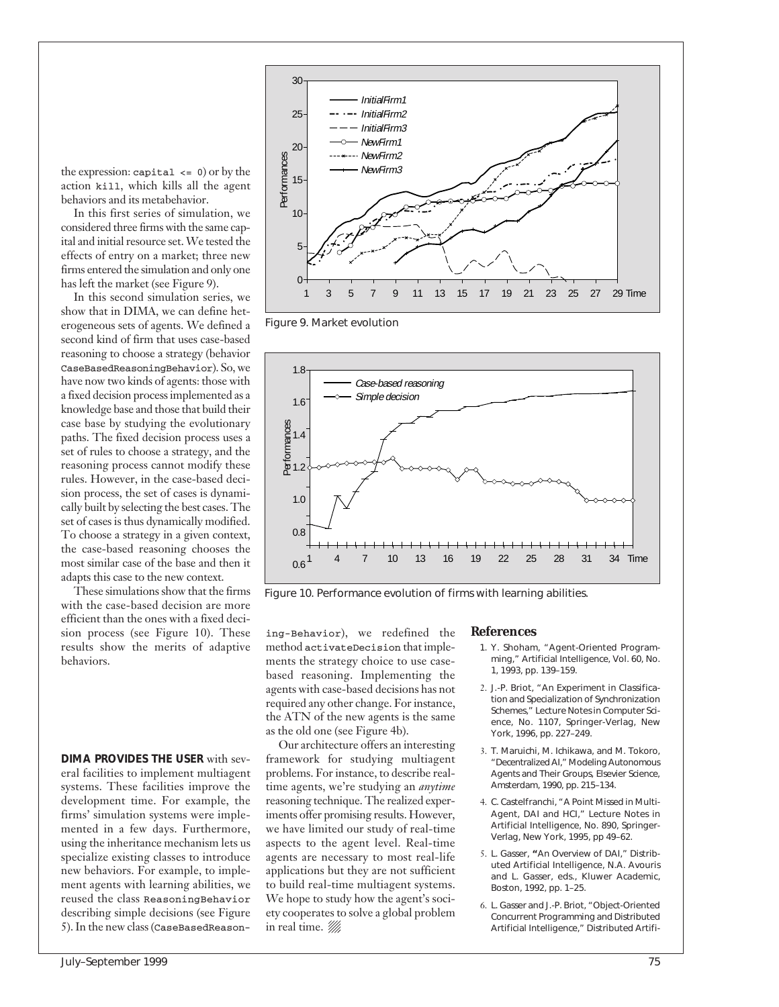

Figure 9. Market evolution



Figure 10. Performance evolution of firms with learning abilities.

ing-Behavior), we redefined the method activateDecision that implements the strategy choice to use casebased reasoning. Implementing the agents with case-based decisions has not required any other change. For instance, the ATN of the new agents is the same as the old one (see Figure 4b).

Our architecture offers an interesting framework for studying multiagent problems. For instance, to describe realtime agents, we're studying an *anytime* reasoning technique. The realized experiments offer promising results. However, we have limited our study of real-time aspects to the agent level. Real-time agents are necessary to most real-life applications but they are not sufficient to build real-time multiagent systems. We hope to study how the agent's society cooperates to solve a global problem in real time. *\///* 

#### **References**

- 1. Y. Shoham, "Agent-Oriented Programming," *Artificial Intelligence*, Vol. 60, No. 1, 1993, pp. 139–159.
- 2. J.-P. Briot, "An Experiment in Classification and Specialization of Synchronization Schemes," *Lecture Notes in Computer Science*, No. 1107, Springer-Verlag, New York, 1996, pp. 227–249.
- 3. T. Maruichi, M. Ichikawa, and M. Tokoro, "Decentralized AI," *Modeling Autonomous Agents and Their Groups*, Elsevier Science, Amsterdam, 1990, pp. 215–134.
- 4. C. Castelfranchi, "A Point Missed in Multi-Agent, DAI and HCI," *Lecture Notes in Artificial Intelligence*, No. 890, Springer-Verlag, New York, 1995, pp 49–62.
- 5. L. Gasser, **"**An Overview of DAI," *Distributed Artificial Intelligence*, N.A. Avouris and L. Gasser, eds., Kluwer Academic, Boston, 1992, pp. 1–25.
- 6. L. Gasser and J.-P. Briot, "Object-Oriented Concurrent Programming and Distributed Artificial Intelligence," *Distributed Artifi-*

the expression: capital  $\leq 0$  or by the action kill, which kills all the agent behaviors and its metabehavior.

In this first series of simulation, we considered three firms with the same capital and initial resource set. We tested the effects of entry on a market; three new firms entered the simulation and only one has left the market (see Figure 9).

In this second simulation series, we show that in DIMA, we can define heterogeneous sets of agents. We defined a second kind of firm that uses case-based reasoning to choose a strategy (behavior CaseBasedReasoningBehavior). So, we have now two kinds of agents: those with a fixed decision process implemented as a knowledge base and those that build their case base by studying the evolutionary paths. The fixed decision process uses a set of rules to choose a strategy, and the reasoning process cannot modify these rules. However, in the case-based decision process, the set of cases is dynamically built by selecting the best cases. The set of cases is thus dynamically modified. To choose a strategy in a given context, the case-based reasoning chooses the most similar case of the base and then it adapts this case to the new context.

These simulations show that the firms with the case-based decision are more efficient than the ones with a fixed decision process (see Figure 10). These results show the merits of adaptive behaviors.

# *DIMA PROVIDES THE USER* with sev-

eral facilities to implement multiagent systems. These facilities improve the development time. For example, the firms' simulation systems were implemented in a few days. Furthermore, using the inheritance mechanism lets us specialize existing classes to introduce new behaviors. For example, to implement agents with learning abilities, we reused the class ReasoningBehavior describing simple decisions (see Figure 5). In the new class (CaseBasedReason-